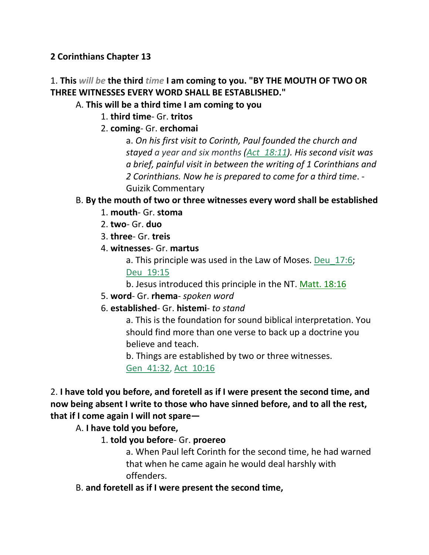### **2 Corinthians Chapter 13**

# 1. **This** *will be* **the third** *time* **I am coming to you. "BY THE MOUTH OF TWO OR THREE WITNESSES EVERY WORD SHALL BE ESTABLISHED."**

#### A. **This will be a third time I am coming to you**

- 1. **third time** Gr. **tritos**
- 2. **coming** Gr. **erchomai**

a. *On his first visit to Corinth, Paul founded the church and stayed a year and six months (Act\_18:11). His second visit was a brief, painful visit in between the writing of 1 Corinthians and 2 Corinthians. Now he is prepared to come for a third time*. - Guizik Commentary

### B. **By the mouth of two or three witnesses every word shall be established**

- 1. **mouth** Gr. **stoma**
- 2. **two** Gr. **duo**
- 3. **three** Gr. **treis**
- 4. **witnesses** Gr. **martus**
	- a. This principle was used in the Law of Moses. Deu\_17:6; Deu\_19:15
	- b. Jesus introduced this principle in the NT. Matt. 18:16
- 5. **word** Gr. **rhema** *spoken word*
- 6. **established** Gr. **histemi** *to stand*

a. This is the foundation for sound biblical interpretation. You should find more than one verse to back up a doctrine you believe and teach.

b. Things are established by two or three witnesses.

Gen\_41:32, Act\_10:16

2. **I have told you before, and foretell as if I were present the second time, and now being absent I write to those who have sinned before, and to all the rest, that if I come again I will not spare—**

A. **I have told you before,**

1. **told you before**- Gr. **proereo**

a. When Paul left Corinth for the second time, he had warned that when he came again he would deal harshly with offenders.

B. **and foretell as if I were present the second time,**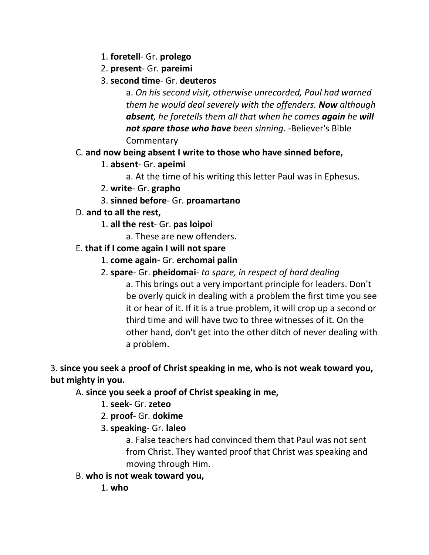- 1. **foretell** Gr. **prolego**
- 2. **present** Gr. **pareimi**
- 3. **second time** Gr. **deuteros**

a. *On his second visit, otherwise unrecorded, Paul had warned them he would deal severely with the offenders. Now although absent, he foretells them all that when he comes again he will not spare those who have been sinning.* -Believer's Bible **Commentary** 

### C. **and now being absent I write to those who have sinned before,**

1. **absent**- Gr. **apeimi**

a. At the time of his writing this letter Paul was in Ephesus.

- 2. **write** Gr. **grapho**
- 3. **sinned before** Gr. **proamartano**

### D. **and to all the rest,**

- 1. **all the rest** Gr. **pas loipoi**
	- a. These are new offenders.

### E. **that if I come again I will not spare**

- 1. **come again** Gr. **erchomai palin**
- 2. **spare** Gr. **pheidomai** *to spare, in respect of hard dealing*

a. This brings out a very important principle for leaders. Don't be overly quick in dealing with a problem the first time you see it or hear of it. If it is a true problem, it will crop up a second or third time and will have two to three witnesses of it. On the other hand, don't get into the other ditch of never dealing with a problem.

### 3. **since you seek a proof of Christ speaking in me, who is not weak toward you, but mighty in you.**

A. **since you seek a proof of Christ speaking in me,**

- 1. **seek** Gr. **zeteo**
- 2. **proof** Gr. **dokime**
- 3. **speaking** Gr. **laleo**

a. False teachers had convinced them that Paul was not sent from Christ. They wanted proof that Christ was speaking and moving through Him.

B. **who is not weak toward you,**

1. **who**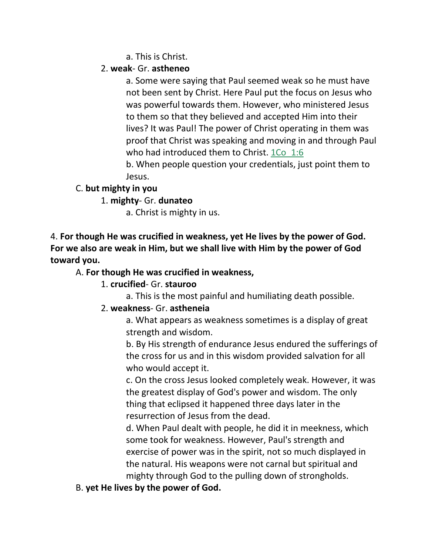a. This is Christ.

### 2. **weak**- Gr. **astheneo**

a. Some were saying that Paul seemed weak so he must have not been sent by Christ. Here Paul put the focus on Jesus who was powerful towards them. However, who ministered Jesus to them so that they believed and accepted Him into their lives? It was Paul! The power of Christ operating in them was proof that Christ was speaking and moving in and through Paul who had introduced them to Christ. 1Co 1:6

b. When people question your credentials, just point them to Jesus.

### C. **but mighty in you**

1. **mighty**- Gr. **dunateo**

a. Christ is mighty in us.

4. **For though He was crucified in weakness, yet He lives by the power of God. For we also are weak in Him, but we shall live with Him by the power of God toward you.** 

### A. **For though He was crucified in weakness,**

### 1. **crucified**- Gr. **stauroo**

a. This is the most painful and humiliating death possible.

### 2. **weakness**- Gr. **astheneia**

a. What appears as weakness sometimes is a display of great strength and wisdom.

b. By His strength of endurance Jesus endured the sufferings of the cross for us and in this wisdom provided salvation for all who would accept it.

c. On the cross Jesus looked completely weak. However, it was the greatest display of God's power and wisdom. The only thing that eclipsed it happened three days later in the resurrection of Jesus from the dead.

d. When Paul dealt with people, he did it in meekness, which some took for weakness. However, Paul's strength and exercise of power was in the spirit, not so much displayed in the natural. His weapons were not carnal but spiritual and mighty through God to the pulling down of strongholds.

B. **yet He lives by the power of God.**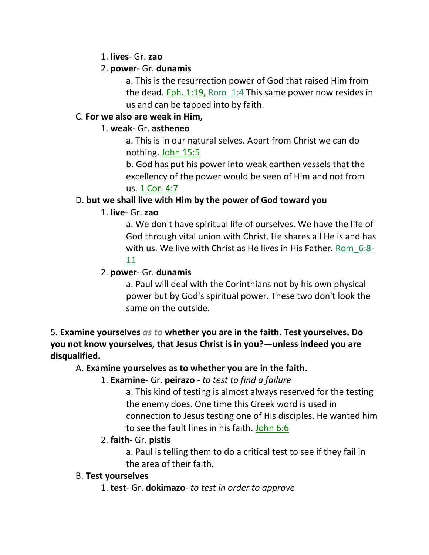1. **lives**- Gr. **zao**

### 2. **power**- Gr. **dunamis**

a. This is the resurrection power of God that raised Him from the dead. Eph. 1:19, Rom 1:4 This same power now resides in us and can be tapped into by faith.

### C. **For we also are weak in Him,**

### 1. **weak**- Gr. **astheneo**

a. This is in our natural selves. Apart from Christ we can do nothing. John 15:5

b. God has put his power into weak earthen vessels that the excellency of the power would be seen of Him and not from us. 1 Cor. 4:7

# D. **but we shall live with Him by the power of God toward you**

### 1. **live**- Gr. **zao**

a. We don't have spiritual life of ourselves. We have the life of God through vital union with Christ. He shares all He is and has with us. We live with Christ as He lives in His Father. Rom 6:8-

# 11

### 2. **power**- Gr. **dunamis**

a. Paul will deal with the Corinthians not by his own physical power but by God's spiritual power. These two don't look the same on the outside.

5. **Examine yourselves** *as to* **whether you are in the faith. Test yourselves. Do you not know yourselves, that Jesus Christ is in you?—unless indeed you are disqualified.** 

# A. **Examine yourselves as to whether you are in the faith.**

# 1. **Examine**- Gr. **peirazo** - *to test to find a failure*

a. This kind of testing is almost always reserved for the testing the enemy does. One time this Greek word is used in connection to Jesus testing one of His disciples. He wanted him to see the fault lines in his faith. John 6:6

# 2. **faith**- Gr. **pistis**

a. Paul is telling them to do a critical test to see if they fail in the area of their faith.

### B. **Test yourselves**

1. **test**- Gr. **dokimazo**- *to test in order to approve*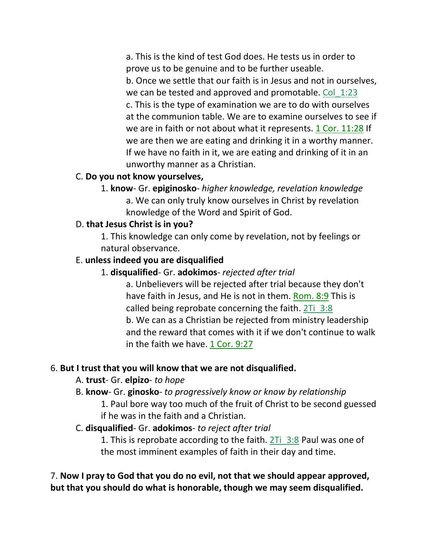a. This is the kind of test God does. He tests us in order to prove us to be genuine and to be further useable. b. Once we settle that our faith is in Jesus and not in ourselves, we can be tested and approved and promotable. Col 1:23 c. This is the type of examination we are to do with ourselves at the communion table. We are to examine ourselves to see if we are in faith or not about what it represents. 1 Cor. 11:28 If we are then we are eating and drinking it in a worthy manner. If we have no faith in it, we are eating and drinking of it in an unworthy manner as a Christian.

#### C. **Do you not know yourselves,**

1. **know**- Gr. **epiginosko**- *higher knowledge, revelation knowledge* a. We can only truly know ourselves in Christ by revelation knowledge of the Word and Spirit of God.

### D. **that Jesus Christ is in you?**

1. This knowledge can only come by revelation, not by feelings or natural observance.

### E. **unless indeed you are disqualified**

### 1. **disqualified**- Gr. **adokimos**- *rejected after trial*

a. Unbelievers will be rejected after trial because they don't have faith in Jesus, and He is not in them. Rom. 8:9 This is called being reprobate concerning the faith. 2Ti\_3:8 b. We can as a Christian be rejected from ministry leadership and the reward that comes with it if we don't continue to walk in the faith we have. 1 Cor. 9:27

### 6. **But I trust that you will know that we are not disqualified.**

### A. **trust**- Gr. **elpizo**- *to hope*

B. **know**- Gr. **ginosko**- *to progressively know or know by relationship*

1. Paul bore way too much of the fruit of Christ to be second guessed if he was in the faith and a Christian.

### C. **disqualified**- Gr. **adokimos**- *to reject after trial*

1. This is reprobate according to the faith. 2Ti\_3:8 Paul was one of the most imminent examples of faith in their day and time.

7. **Now I pray to God that you do no evil, not that we should appear approved, but that you should do what is honorable, though we may seem disqualified.**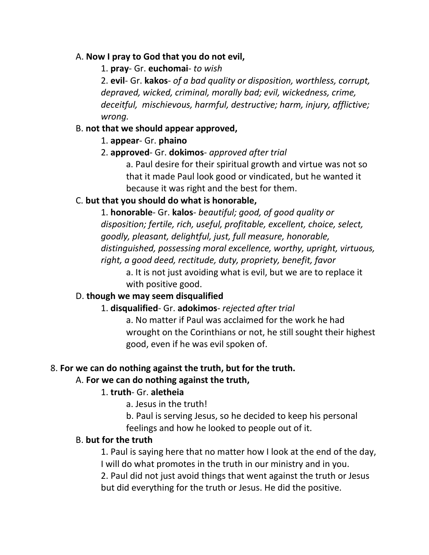#### A. **Now I pray to God that you do not evil,**

1. **pray**- Gr. **euchomai**- *to wish*

2. **evil**- Gr. **kakos**- *of a bad quality or disposition, worthless, corrupt, depraved, wicked, criminal, morally bad; evil, wickedness, crime, deceitful, mischievous, harmful, destructive; harm, injury, afflictive; wrong.*

#### B. **not that we should appear approved,**

1. **appear**- Gr. **phaino**

### 2. **approved**- Gr. **dokimos**- *approved after trial*

a. Paul desire for their spiritual growth and virtue was not so that it made Paul look good or vindicated, but he wanted it because it was right and the best for them.

### C. **but that you should do what is honorable,**

1. **honorable**- Gr. **kalos**- *beautiful; good, of good quality or disposition; fertile, rich, useful, profitable, excellent, choice, select, goodly, pleasant, delightful, just, full measure, honorable, distinguished, possessing moral excellence, worthy, upright, virtuous, right, a good deed, rectitude, duty, propriety, benefit, favor*

a. It is not just avoiding what is evil, but we are to replace it with positive good.

### D. **though we may seem disqualified**

### 1. **disqualified**- Gr. **adokimos**- *rejected after trial*

a. No matter if Paul was acclaimed for the work he had wrought on the Corinthians or not, he still sought their highest good, even if he was evil spoken of.

### 8. **For we can do nothing against the truth, but for the truth.**

### A. **For we can do nothing against the truth,**

### 1. **truth**- Gr. **aletheia**

a. Jesus in the truth!

b. Paul is serving Jesus, so he decided to keep his personal feelings and how he looked to people out of it.

### B. **but for the truth**

1. Paul is saying here that no matter how I look at the end of the day, I will do what promotes in the truth in our ministry and in you.

2. Paul did not just avoid things that went against the truth or Jesus but did everything for the truth or Jesus. He did the positive.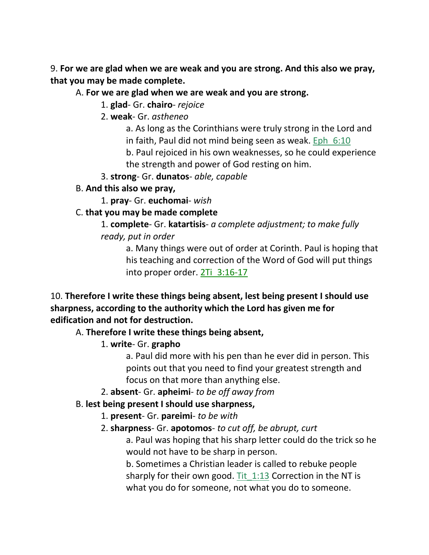9. **For we are glad when we are weak and you are strong. And this also we pray, that you may be made complete.** 

#### A. **For we are glad when we are weak and you are strong.**

1. **glad**- Gr. **chairo**- *rejoice*

2. **weak**- Gr. *astheneo*

a. As long as the Corinthians were truly strong in the Lord and

in faith, Paul did not mind being seen as weak. Eph\_6:10

b. Paul rejoiced in his own weaknesses, so he could experience the strength and power of God resting on him.

3. **strong**- Gr. **dunatos**- *able, capable*

B. **And this also we pray,**

1. **pray**- Gr. **euchomai**- *wish*

### C. **that you may be made complete**

1. **complete**- Gr. **katartisis**- *a complete adjustment; to make fully ready, put in order*

a. Many things were out of order at Corinth. Paul is hoping that his teaching and correction of the Word of God will put things into proper order. 2Ti\_3:16-17

10. **Therefore I write these things being absent, lest being present I should use sharpness, according to the authority which the Lord has given me for edification and not for destruction.** 

### A. **Therefore I write these things being absent,**

# 1. **write**- Gr. **grapho**

a. Paul did more with his pen than he ever did in person. This points out that you need to find your greatest strength and focus on that more than anything else.

2. **absent**- Gr. **apheimi**- *to be off away from*

### B. **lest being present I should use sharpness,**

1. **present**- Gr. **pareimi**- *to be with*

### 2. **sharpness**- Gr. **apotomos**- *to cut off, be abrupt, curt*

a. Paul was hoping that his sharp letter could do the trick so he would not have to be sharp in person.

b. Sometimes a Christian leader is called to rebuke people sharply for their own good. Tit 1:13 Correction in the NT is what you do for someone, not what you do to someone.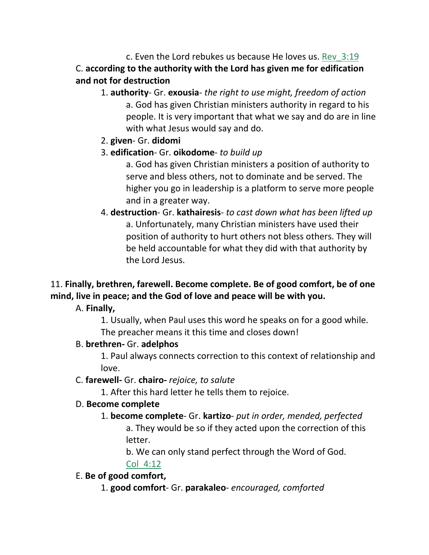c. Even the Lord rebukes us because He loves us. Rev\_3:19 C. **according to the authority with the Lord has given me for edification and not for destruction**

- 1. **authority** Gr. **exousia** *the right to use might, freedom of action* a. God has given Christian ministers authority in regard to his people. It is very important that what we say and do are in line with what Jesus would say and do.
- 2. **given** Gr. **didomi**
- 3. **edification** Gr. **oikodome** *to build up*

a. God has given Christian ministers a position of authority to serve and bless others, not to dominate and be served. The higher you go in leadership is a platform to serve more people and in a greater way.

4. **destruction**- Gr. **kathairesis**- *to cast down what has been lifted up* a. Unfortunately, many Christian ministers have used their position of authority to hurt others not bless others. They will be held accountable for what they did with that authority by the Lord Jesus.

# 11. **Finally, brethren, farewell. Become complete. Be of good comfort, be of one mind, live in peace; and the God of love and peace will be with you.**

A. **Finally,**

1. Usually, when Paul uses this word he speaks on for a good while. The preacher means it this time and closes down!

# B. **brethren-** Gr. **adelphos**

1. Paul always connects correction to this context of relationship and love.

# C. **farewell-** Gr. **chairo-** *rejoice, to salute*

1. After this hard letter he tells them to rejoice.

# D. **Become complete**

1. **become complete**- Gr. **kartizo**- *put in order, mended, perfected* a. They would be so if they acted upon the correction of this letter.

b. We can only stand perfect through the Word of God.

# Col\_4:12

E. **Be of good comfort,**

1. **good comfort**- Gr. **parakaleo**- *encouraged, comforted*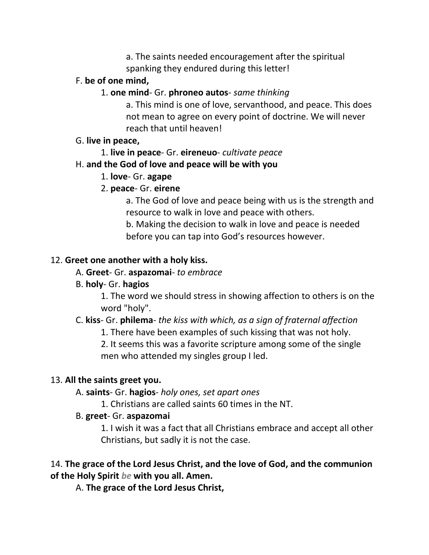a. The saints needed encouragement after the spiritual spanking they endured during this letter!

### F. **be of one mind,**

#### 1. **one mind**- Gr. **phroneo autos**- *same thinking*

a. This mind is one of love, servanthood, and peace. This does not mean to agree on every point of doctrine. We will never reach that until heaven!

#### G. **live in peace,**

1. **live in peace**- Gr. **eireneuo**- *cultivate peace*

### H. **and the God of love and peace will be with you**

1. **love**- Gr. **agape**

### 2. **peace**- Gr. **eirene**

a. The God of love and peace being with us is the strength and resource to walk in love and peace with others.

b. Making the decision to walk in love and peace is needed before you can tap into God's resources however.

### 12. **Greet one another with a holy kiss.**

### A. **Greet**- Gr. **aspazomai**- *to embrace*

### B. **holy**- Gr. **hagios**

1. The word we should stress in showing affection to others is on the word "holy".

# C. **kiss**- Gr. **philema**- *the kiss with which, as a sign of fraternal affection*

1. There have been examples of such kissing that was not holy.

2. It seems this was a favorite scripture among some of the single men who attended my singles group I led.

### 13. **All the saints greet you.**

A. **saints**- Gr. **hagios**- *holy ones, set apart ones*

1. Christians are called saints 60 times in the NT.

# B. **greet**- Gr. **aspazomai**

1. I wish it was a fact that all Christians embrace and accept all other Christians, but sadly it is not the case.

### 14. **The grace of the Lord Jesus Christ, and the love of God, and the communion of the Holy Spirit** *be* **with you all. Amen.**

A. **The grace of the Lord Jesus Christ,**